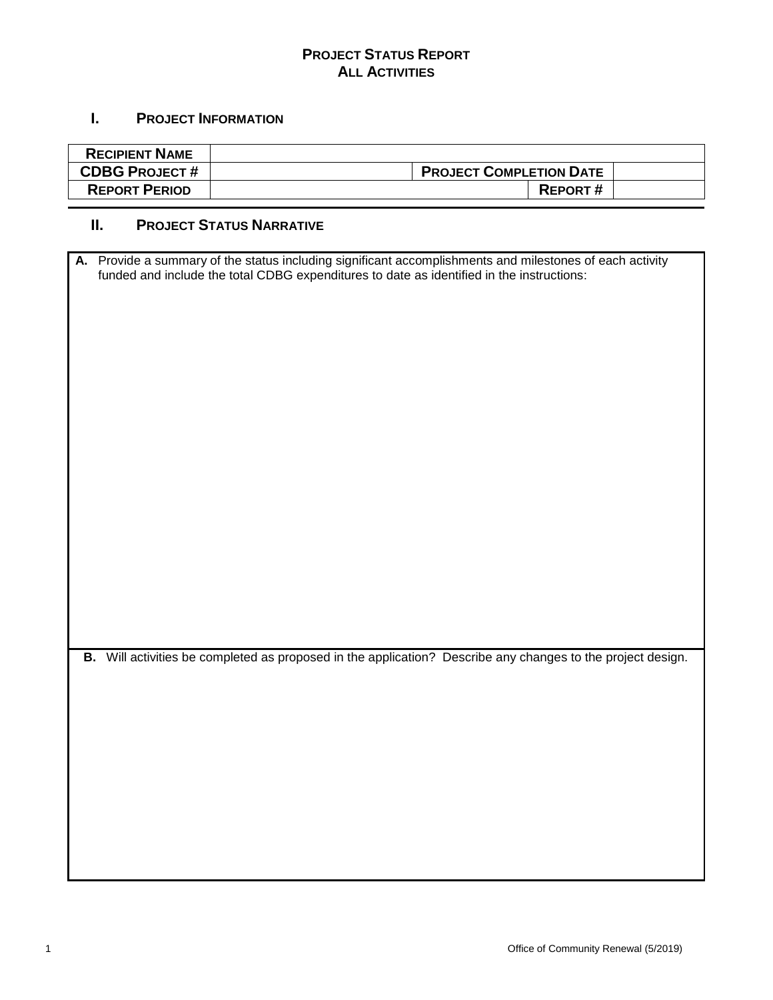### **PROJECT STATUS REPORT ALL ACTIVITIES**

### **I. PROJECT INFORMATION**

| <b>RECIPIENT NAME</b> |                                |  |
|-----------------------|--------------------------------|--|
| <b>CDBG PROJECT#</b>  | <b>PROJECT COMPLETION DATE</b> |  |
| <b>REPORT PERIOD</b>  | <b>REPORT#</b>                 |  |

## **II. PROJECT STATUS NARRATIVE**

| A. Provide a summary of the status including significant accomplishments and milestones of each activity    |
|-------------------------------------------------------------------------------------------------------------|
| funded and include the total CDBG expenditures to date as identified in the instructions:                   |
|                                                                                                             |
|                                                                                                             |
|                                                                                                             |
|                                                                                                             |
|                                                                                                             |
|                                                                                                             |
|                                                                                                             |
|                                                                                                             |
|                                                                                                             |
|                                                                                                             |
|                                                                                                             |
|                                                                                                             |
|                                                                                                             |
|                                                                                                             |
|                                                                                                             |
|                                                                                                             |
|                                                                                                             |
|                                                                                                             |
|                                                                                                             |
|                                                                                                             |
|                                                                                                             |
|                                                                                                             |
|                                                                                                             |
| B. Will activities be completed as proposed in the application? Describe any changes to the project design. |
|                                                                                                             |
|                                                                                                             |
|                                                                                                             |
|                                                                                                             |
|                                                                                                             |
|                                                                                                             |
|                                                                                                             |
|                                                                                                             |
|                                                                                                             |
|                                                                                                             |
|                                                                                                             |
|                                                                                                             |
|                                                                                                             |
|                                                                                                             |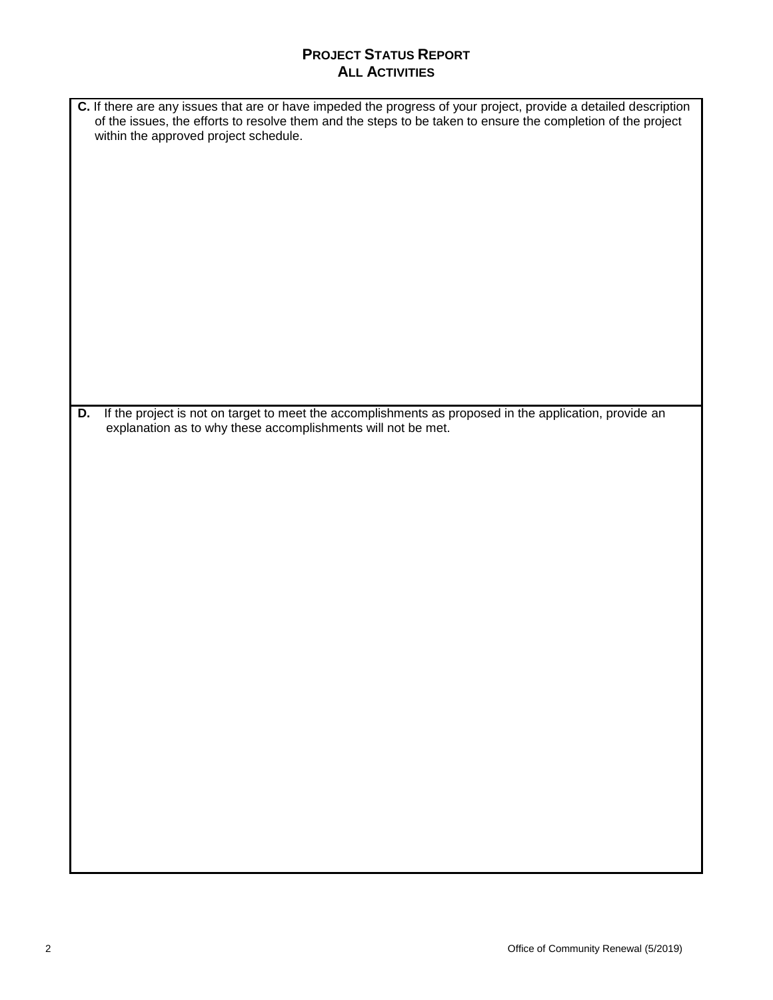### **PROJECT STATUS REPORT ALL ACTIVITIES**

| C. If there are any issues that are or have impeded the progress of your project, provide a detailed description<br>of the issues, the efforts to resolve them and the steps to be taken to ensure the completion of the project |
|----------------------------------------------------------------------------------------------------------------------------------------------------------------------------------------------------------------------------------|
| within the approved project schedule.                                                                                                                                                                                            |
|                                                                                                                                                                                                                                  |
|                                                                                                                                                                                                                                  |
|                                                                                                                                                                                                                                  |
|                                                                                                                                                                                                                                  |
|                                                                                                                                                                                                                                  |
|                                                                                                                                                                                                                                  |
|                                                                                                                                                                                                                                  |
|                                                                                                                                                                                                                                  |
|                                                                                                                                                                                                                                  |
|                                                                                                                                                                                                                                  |
| If the project is not on target to meet the accomplishments as proposed in the application, provide an<br>D.                                                                                                                     |
| explanation as to why these accomplishments will not be met.                                                                                                                                                                     |
|                                                                                                                                                                                                                                  |
|                                                                                                                                                                                                                                  |
|                                                                                                                                                                                                                                  |
|                                                                                                                                                                                                                                  |
|                                                                                                                                                                                                                                  |
|                                                                                                                                                                                                                                  |
|                                                                                                                                                                                                                                  |
|                                                                                                                                                                                                                                  |
|                                                                                                                                                                                                                                  |
|                                                                                                                                                                                                                                  |
|                                                                                                                                                                                                                                  |
|                                                                                                                                                                                                                                  |
|                                                                                                                                                                                                                                  |
|                                                                                                                                                                                                                                  |
|                                                                                                                                                                                                                                  |
|                                                                                                                                                                                                                                  |
|                                                                                                                                                                                                                                  |
|                                                                                                                                                                                                                                  |
|                                                                                                                                                                                                                                  |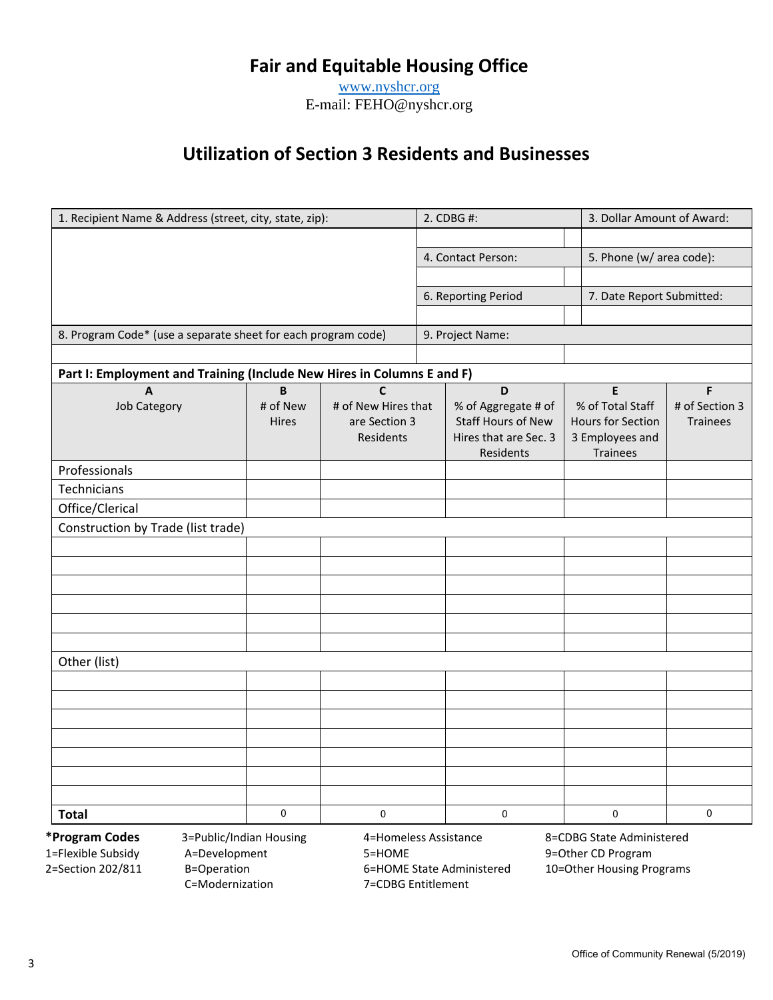# **Fair and Equitable Housing Office**

www.nyshcr.org E-mail: FEHO@nyshcr.org

# **Utilization of Section 3 Residents and Businesses**

| 1. Recipient Name & Address (street, city, state, zip):                |                         |                            | 2. CDBG #:          |                                             |  | 3. Dollar Amount of Award:           |                 |  |
|------------------------------------------------------------------------|-------------------------|----------------------------|---------------------|---------------------------------------------|--|--------------------------------------|-----------------|--|
|                                                                        |                         |                            |                     |                                             |  |                                      |                 |  |
|                                                                        |                         |                            | 4. Contact Person:  |                                             |  | 5. Phone (w/ area code):             |                 |  |
|                                                                        |                         |                            |                     |                                             |  |                                      |                 |  |
|                                                                        |                         |                            | 6. Reporting Period |                                             |  | 7. Date Report Submitted:            |                 |  |
|                                                                        |                         |                            |                     |                                             |  |                                      |                 |  |
| 8. Program Code* (use a separate sheet for each program code)          |                         |                            | 9. Project Name:    |                                             |  |                                      |                 |  |
|                                                                        |                         |                            |                     |                                             |  |                                      |                 |  |
| Part I: Employment and Training (Include New Hires in Columns E and F) |                         |                            |                     |                                             |  |                                      |                 |  |
| $\overline{A}$                                                         | $\overline{\mathsf{B}}$ | $\mathbf c$                |                     | D                                           |  | E                                    | F               |  |
| <b>Job Category</b>                                                    | # of New                | # of New Hires that        |                     | % of Aggregate # of                         |  | % of Total Staff                     | # of Section 3  |  |
|                                                                        | <b>Hires</b>            | are Section 3<br>Residents |                     | Staff Hours of New<br>Hires that are Sec. 3 |  | Hours for Section<br>3 Employees and | <b>Trainees</b> |  |
|                                                                        |                         |                            |                     | Residents                                   |  | <b>Trainees</b>                      |                 |  |
| Professionals                                                          |                         |                            |                     |                                             |  |                                      |                 |  |
| Technicians                                                            |                         |                            |                     |                                             |  |                                      |                 |  |
| Office/Clerical                                                        |                         |                            |                     |                                             |  |                                      |                 |  |
| Construction by Trade (list trade)                                     |                         |                            |                     |                                             |  |                                      |                 |  |
|                                                                        |                         |                            |                     |                                             |  |                                      |                 |  |
|                                                                        |                         |                            |                     |                                             |  |                                      |                 |  |
|                                                                        |                         |                            |                     |                                             |  |                                      |                 |  |
|                                                                        |                         |                            |                     |                                             |  |                                      |                 |  |
|                                                                        |                         |                            |                     |                                             |  |                                      |                 |  |
|                                                                        |                         |                            |                     |                                             |  |                                      |                 |  |
| Other (list)                                                           |                         |                            |                     |                                             |  |                                      |                 |  |
|                                                                        |                         |                            |                     |                                             |  |                                      |                 |  |
|                                                                        |                         |                            |                     |                                             |  |                                      |                 |  |
|                                                                        |                         |                            |                     |                                             |  |                                      |                 |  |
|                                                                        |                         |                            |                     |                                             |  |                                      |                 |  |
|                                                                        |                         |                            |                     |                                             |  |                                      |                 |  |
|                                                                        |                         |                            |                     |                                             |  |                                      |                 |  |
|                                                                        |                         |                            |                     |                                             |  |                                      |                 |  |
| <b>Total</b>                                                           | $\mathbf 0$             | 0                          |                     | 0                                           |  | $\mathbf 0$                          | $\mathbf 0$     |  |

C=Modernization 7=CDBG Entitlement

1=Flexible Subsidy A=Development 5=HOME 9=Other CD Program B=Operation 6=HOME State Administered 10=Other Housing Programs

**\*Program Codes** 3=Public/Indian Housing 4=Homeless Assistance 8=CDBG State Administered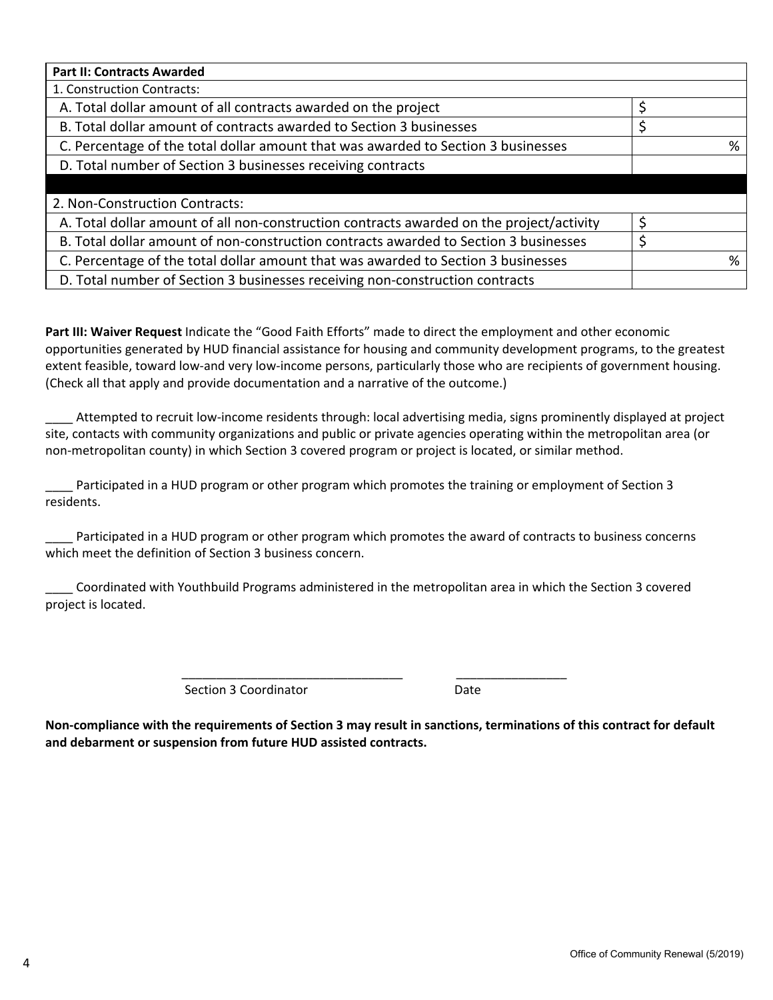| <b>Part II: Contracts Awarded</b>                                                        |  |   |  |
|------------------------------------------------------------------------------------------|--|---|--|
| 1. Construction Contracts:                                                               |  |   |  |
| A. Total dollar amount of all contracts awarded on the project                           |  |   |  |
| B. Total dollar amount of contracts awarded to Section 3 businesses                      |  |   |  |
| C. Percentage of the total dollar amount that was awarded to Section 3 businesses        |  | % |  |
| D. Total number of Section 3 businesses receiving contracts                              |  |   |  |
|                                                                                          |  |   |  |
| 2. Non-Construction Contracts:                                                           |  |   |  |
| A. Total dollar amount of all non-construction contracts awarded on the project/activity |  |   |  |
| B. Total dollar amount of non-construction contracts awarded to Section 3 businesses     |  |   |  |
| C. Percentage of the total dollar amount that was awarded to Section 3 businesses        |  | % |  |
| D. Total number of Section 3 businesses receiving non-construction contracts             |  |   |  |

**Part III: Waiver Request** Indicate the "Good Faith Efforts" made to direct the employment and other economic opportunities generated by HUD financial assistance for housing and community development programs, to the greatest extent feasible, toward low-and very low-income persons, particularly those who are recipients of government housing. (Check all that apply and provide documentation and a narrative of the outcome.)

Attempted to recruit low-income residents through: local advertising media, signs prominently displayed at project site, contacts with community organizations and public or private agencies operating within the metropolitan area (or non‐metropolitan county) in which Section 3 covered program or project is located, or similar method.

Participated in a HUD program or other program which promotes the training or employment of Section 3 residents.

Participated in a HUD program or other program which promotes the award of contracts to business concerns which meet the definition of Section 3 business concern.

\_\_\_\_ Coordinated with Youthbuild Programs administered in the metropolitan area in which the Section 3 covered project is located.

> \_\_\_\_\_\_\_\_\_\_\_\_\_\_\_\_\_\_\_\_\_\_\_\_\_\_\_\_\_\_\_\_ \_\_\_\_\_\_\_\_\_\_\_\_\_\_\_\_ Section 3 Coordinator **Date**

Non-compliance with the requirements of Section 3 may result in sanctions, terminations of this contract for default **and debarment or suspension from future HUD assisted contracts.**